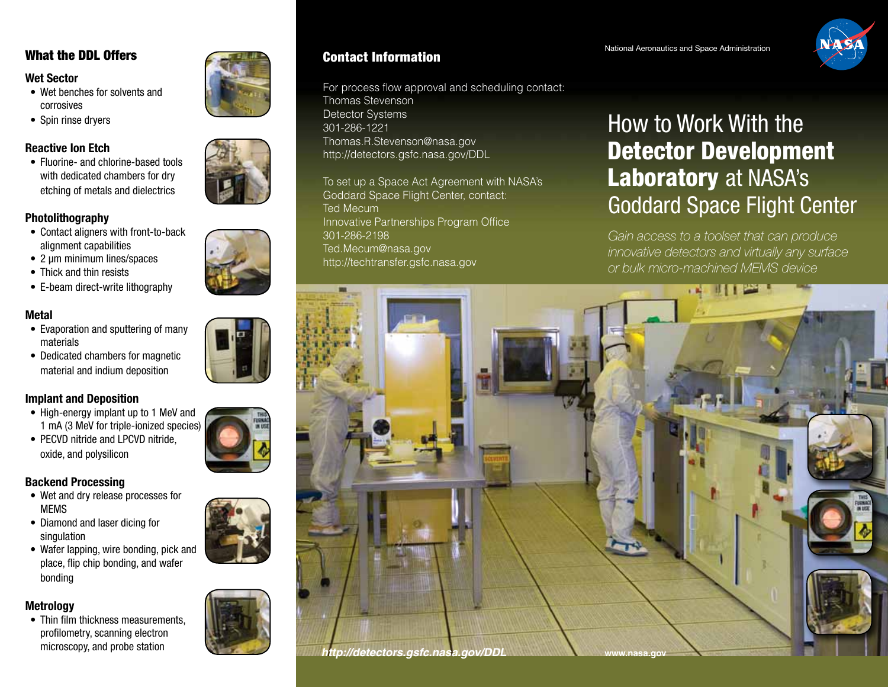# **Wet Sector**

- Wet benches for solvents and corrosives
- Spin rinse dryers

# **Reactive Ion Etch**

• Fluorine- and chlorine-based tools with dedicated chambers for dry etching of metals and dielectrics

# **Photolithography**

- Contact aligners with front-to-back alignment capabilities
- 2 µm minimum lines/spaces
- Thick and thin resists
- E-beam direct-write lithography

# **Metal**

- Evaporation and sputtering of many materials
- Dedicated chambers for magnetic material and indium deposition

# **Implant and Deposition**

- High-energy implant up to 1 MeV and 1 mA (3 MeV for triple-ionized species)
- PECVD nitride and LPCVD nitride. oxide, and polysilicon

# **Backend Processing**

- Wet and dry release processes for MEMS
- Diamond and laser dicing for singulation
- Wafer lapping, wire bonding, pick and place, flip chip bonding, and wafer bonding

# **Metrology**

• Thin film thickness measurements. profilometry, scanning electron



# What the DDL Offers **Examples 2001** Contact Information **Contact Space Administration**

For process flow approval and scheduling contact: Thomas Stevenson Detector Systems 301-286-1221 Thomas.R.Stevenson@nasa.gov http://detectors.gsfc.nasa.gov/DDL

To set up a Space Act Agreement with NASA's Goddard Space Flight Center, contact: Ted Mecum Innovative Partnerships Program Office 301-286-2198 Ted.Mecum@nasa.gov http://techtransfer.gsfc.nasa.gov

### National Aeronautics and Space Administration



# How to Work With the Detector Development Laboratory at NASA's Goddard Space Flight Center

*Gain access to a toolset that can produce innovative detectors and virtually any surface or bulk micro-machined MEMS device*